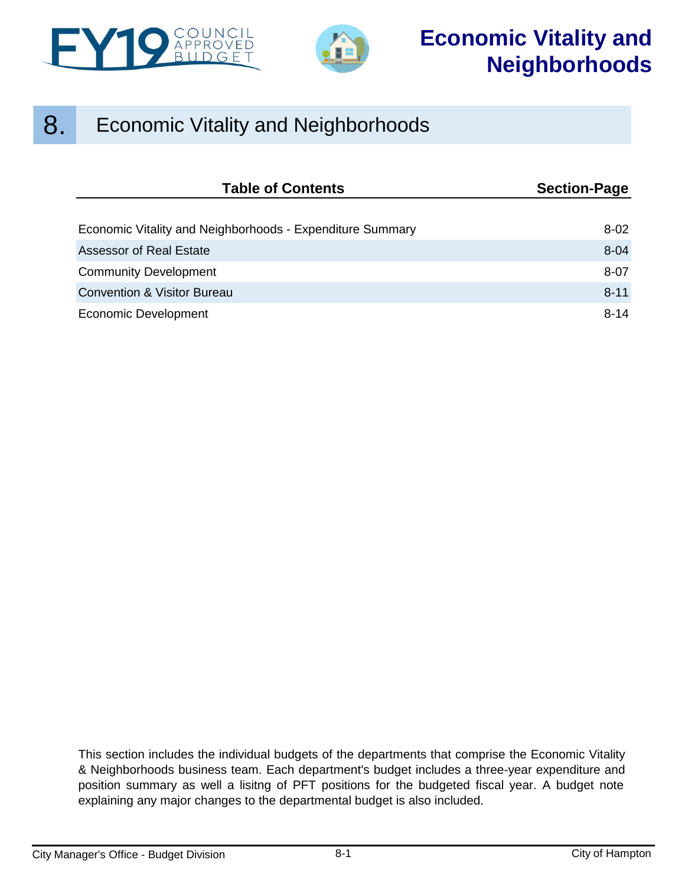



# 8. Economic Vitality and Neighborhoods

| <b>Table of Contents</b>                                  | <b>Section-Page</b> |  |  |
|-----------------------------------------------------------|---------------------|--|--|
|                                                           |                     |  |  |
| Economic Vitality and Neighborhoods - Expenditure Summary | $8 - 02$            |  |  |
| <b>Assessor of Real Estate</b>                            | $8 - 04$            |  |  |
| <b>Community Development</b>                              | $8 - 07$            |  |  |
| <b>Convention &amp; Visitor Bureau</b>                    | $8 - 11$            |  |  |
| Economic Development                                      | $8 - 14$            |  |  |

This section includes the individual budgets of the departments that comprise the Economic Vitality & Neighborhoods business team. Each department's budget includes a three-year expenditure and position summary as well a lisitng of PFT positions for the budgeted fiscal year. A budget note explaining any major changes to the departmental budget is also included.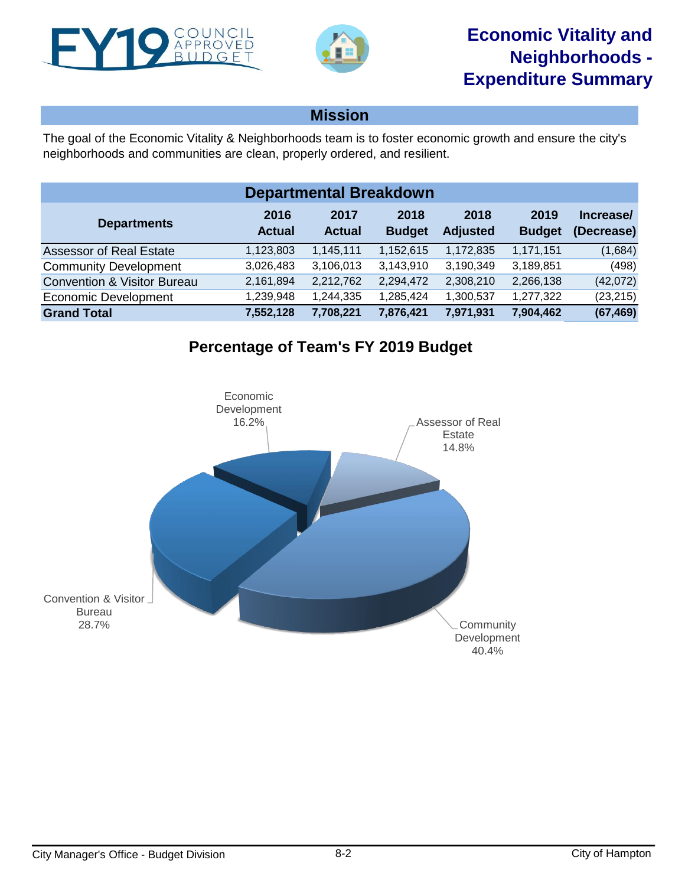<span id="page-1-0"></span>



# **Mission**

The goal of the Economic Vitality & Neighborhoods team is to foster economic growth and ensure the city's neighborhoods and communities are clean, properly ordered, and resilient.

| <b>Departmental Breakdown</b>          |                       |                       |                       |                         |                       |                         |  |  |  |  |
|----------------------------------------|-----------------------|-----------------------|-----------------------|-------------------------|-----------------------|-------------------------|--|--|--|--|
| <b>Departments</b>                     | 2016<br><b>Actual</b> | 2017<br><b>Actual</b> | 2018<br><b>Budget</b> | 2018<br><b>Adjusted</b> | 2019<br><b>Budget</b> | Increase/<br>(Decrease) |  |  |  |  |
| <b>Assessor of Real Estate</b>         | 1,123,803             | 1,145,111             | 1,152,615             | 1,172,835               | 1,171,151             | (1,684)                 |  |  |  |  |
| <b>Community Development</b>           | 3,026,483             | 3,106,013             | 3,143,910             | 3,190,349               | 3,189,851             | (498)                   |  |  |  |  |
| <b>Convention &amp; Visitor Bureau</b> | 2,161,894             | 2,212,762             | 2,294,472             | 2,308,210               | 2,266,138             | (42,072)                |  |  |  |  |
| <b>Economic Development</b>            | 1,239,948             | 1,244,335             | 1,285,424             | 1,300,537               | 1,277,322             | (23, 215)               |  |  |  |  |
| <b>Grand Total</b>                     | 7,552,128             | 7,708,221             | 7,876,421             | 7,971,931               | 7,904,462             | (67, 469)               |  |  |  |  |

# **Percentage of Team's FY 2019 Budget**

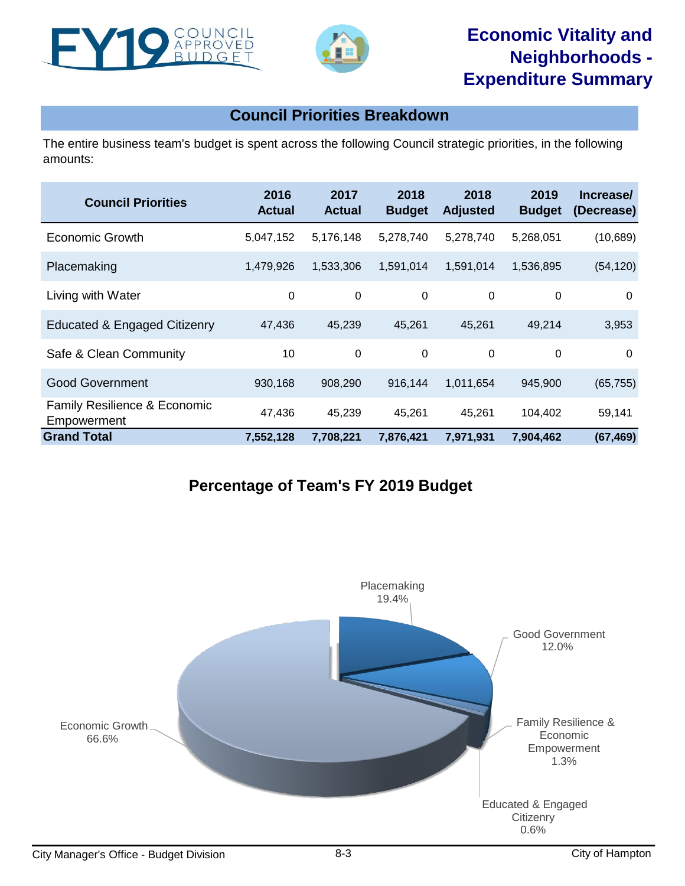



# **Economic Vitality and Neighborhoods - Expenditure Summary**

# **Council Priorities Breakdown**

The entire business team's budget is spent across the following Council strategic priorities, in the following amounts:

| <b>Council Priorities</b>                              | 2016<br><b>Actual</b> | 2017<br><b>Actual</b> | 2018<br><b>Budget</b> | 2018<br><b>Adjusted</b> | 2019<br><b>Budget</b> | Increase/<br>(Decrease) |
|--------------------------------------------------------|-----------------------|-----------------------|-----------------------|-------------------------|-----------------------|-------------------------|
| Economic Growth                                        | 5,047,152             | 5,176,148             | 5,278,740             | 5,278,740               | 5,268,051             | (10, 689)               |
| Placemaking                                            | 1,479,926             | 1,533,306             | 1,591,014             | 1,591,014               | 1,536,895             | (54, 120)               |
| Living with Water                                      | 0                     | 0                     | 0                     | 0                       | $\mathbf 0$           | $\Omega$                |
| Educated & Engaged Citizenry                           | 47,436                | 45,239                | 45,261                | 45,261                  | 49,214                | 3,953                   |
| Safe & Clean Community                                 | 10                    | 0                     | 0                     | $\mathbf 0$             | 0                     | 0                       |
| <b>Good Government</b>                                 | 930,168               | 908,290               | 916,144               | 1,011,654               | 945,900               | (65, 755)               |
| <b>Family Resilience &amp; Economic</b><br>Empowerment | 47,436                | 45,239                | 45,261                | 45,261                  | 104,402               | 59,141                  |
| <b>Grand Total</b>                                     | 7,552,128             | 7,708,221             | 7,876,421             | 7,971,931               | 7,904,462             | (67, 469)               |

# **Percentage of Team's FY 2019 Budget**

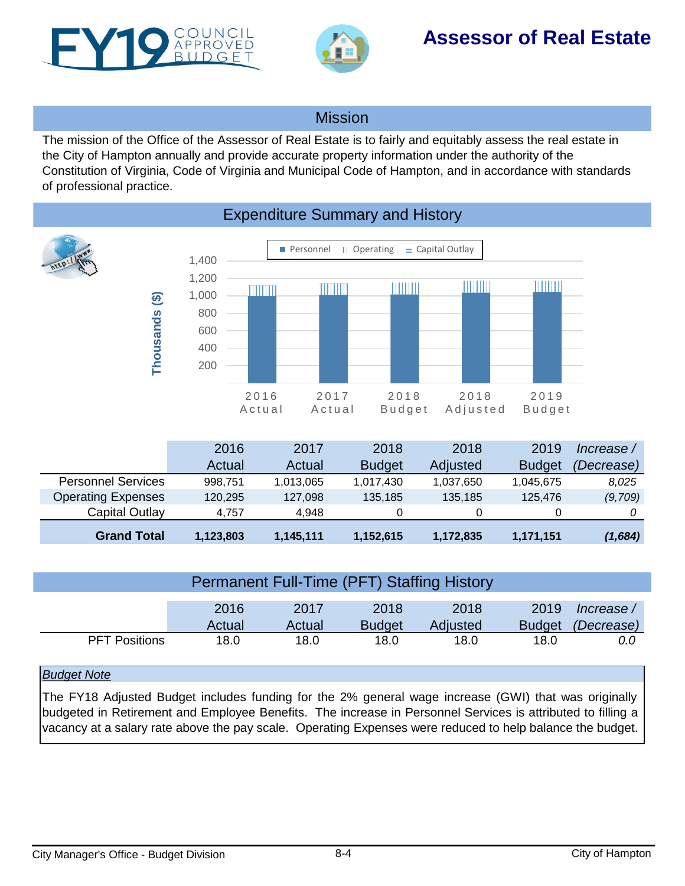<span id="page-3-0"></span>



# **Assessor of Real Estate**

## Mission

The mission of the Office of the Assessor of Real Estate is to fairly and equitably assess the real estate in the City of Hampton annually and provide accurate property information under the authority of the Constitution of Virginia, Code of Virginia and Municipal Code of Hampton, and in accordance with standards of professional practice.



# Expenditure Summary and History

|                           | 2016      | 2017      | 2018          | 2018      | 2019          | lncrease / |
|---------------------------|-----------|-----------|---------------|-----------|---------------|------------|
|                           | Actual    | Actual    | <b>Budget</b> | Adjusted  | <b>Budget</b> | (Decrease) |
| <b>Personnel Services</b> | 998.751   | 1,013,065 | 1,017,430     | 1,037,650 | 1,045,675     | 8,025      |
| <b>Operating Expenses</b> | 120.295   | 127,098   | 135,185       | 135.185   | 125,476       | (9,709)    |
| Capital Outlay            | 4.757     | 4.948     |               |           |               |            |
| <b>Grand Total</b>        | 1,123,803 | 1,145,111 | 1,152,615     | 1,172,835 | 1,171,151     | (1,684)    |

| Permanent Full-Time (PFT) Staffing History |        |        |               |          |               |            |  |  |  |
|--------------------------------------------|--------|--------|---------------|----------|---------------|------------|--|--|--|
|                                            |        |        |               |          |               |            |  |  |  |
|                                            | 2016   | 2017   | 2018          | 2018     | 2019          | lncrease / |  |  |  |
|                                            | Actual | Actual | <b>Budget</b> | Adjusted | <b>Budget</b> | (Decrease) |  |  |  |
| <b>PFT Positions</b>                       | 18.0   | 18.0   | 18.0          | 18.0     | 18.0          | 0.0        |  |  |  |

## *Budget Note*

The FY18 Adjusted Budget includes funding for the 2% general wage increase (GWI) that was originally budgeted in Retirement and Employee Benefits. The increase in Personnel Services is attributed to filling a vacancy at a salary rate above the pay scale. Operating Expenses were reduced to help balance the budget.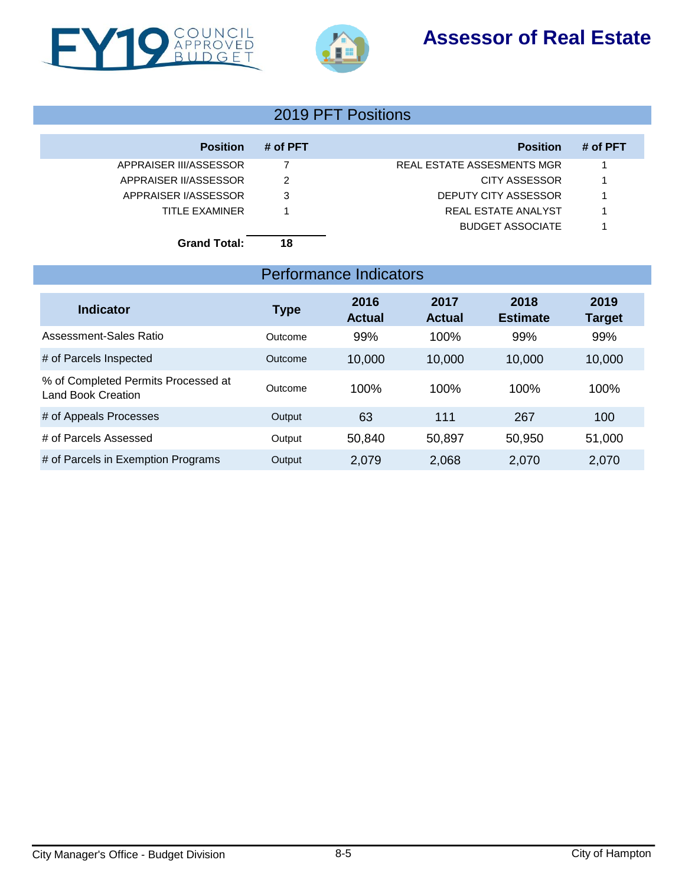# **Assessor of Real Estate**





# 2019 PFT Positions

| <b>Position</b>        | # of PFT | <b>Position</b>                   | # of PFT |
|------------------------|----------|-----------------------------------|----------|
| APPRAISER III/ASSESSOR |          | <b>REAL ESTATE ASSESMENTS MGR</b> |          |
| APPRAISER II/ASSESSOR  | 2        | CITY ASSESSOR                     |          |
| APPRAISER I/ASSESSOR   | 3        | DEPUTY CITY ASSESSOR              |          |
| TITLE EXAMINER         |          | REAL ESTATE ANALYST               |          |
|                        |          | <b>BUDGET ASSOCIATE</b>           |          |
| <b>Grand Total:</b>    | 18       |                                   |          |

# Performance Indicators

| <b>Indicator</b>                                                 | <b>Type</b> | 2016<br><b>Actual</b> | 2017<br><b>Actual</b> | 2018<br><b>Estimate</b> | 2019<br><b>Target</b> |
|------------------------------------------------------------------|-------------|-----------------------|-----------------------|-------------------------|-----------------------|
| Assessment-Sales Ratio                                           | Outcome     | 99%                   | 100%                  | 99%                     | 99%                   |
| # of Parcels Inspected                                           | Outcome     | 10,000                | 10,000                | 10,000                  | 10,000                |
| % of Completed Permits Processed at<br><b>Land Book Creation</b> | Outcome     | 100%                  | 100%                  | 100%                    | 100%                  |
| # of Appeals Processes                                           | Output      | 63                    | 111                   | 267                     | 100                   |
| # of Parcels Assessed                                            | Output      | 50,840                | 50,897                | 50,950                  | 51,000                |
| # of Parcels in Exemption Programs                               | Output      | 2,079                 | 2,068                 | 2,070                   | 2,070                 |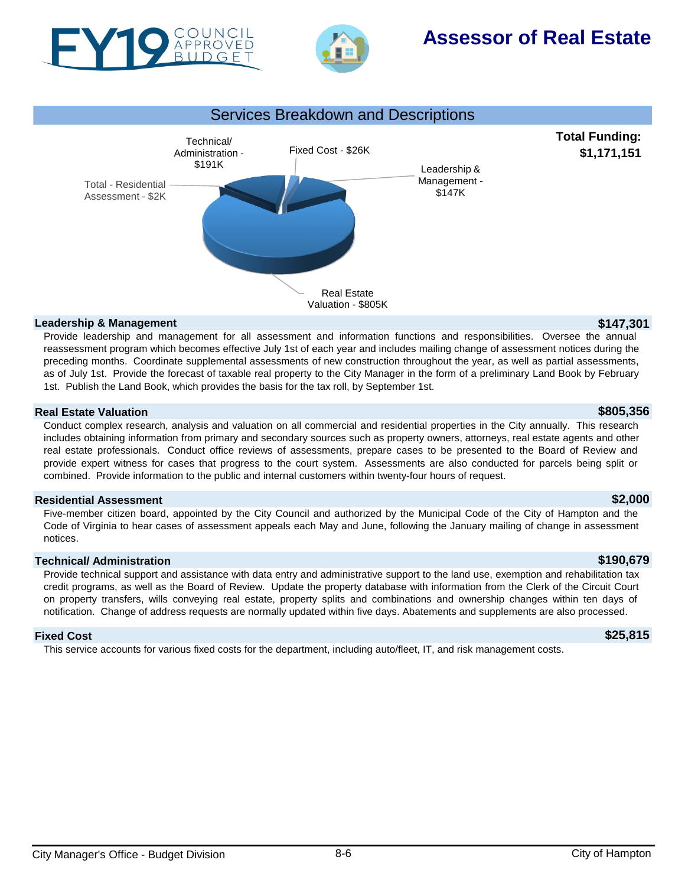



# **Assessor of Real Estate**



### **Leadership & Management \$147,301**

Provide leadership and management for all assessment and information functions and responsibilities. Oversee the annual reassessment program which becomes effective July 1st of each year and includes mailing change of assessment notices during the preceding months. Coordinate supplemental assessments of new construction throughout the year, as well as partial assessments, as of July 1st. Provide the forecast of taxable real property to the City Manager in the form of a preliminary Land Book by February 1st. Publish the Land Book, which provides the basis for the tax roll, by September 1st.

## **Real Estate Valuation \$805,356**

Conduct complex research, analysis and valuation on all commercial and residential properties in the City annually. This research includes obtaining information from primary and secondary sources such as property owners, attorneys, real estate agents and other real estate professionals. Conduct office reviews of assessments, prepare cases to be presented to the Board of Review and provide expert witness for cases that progress to the court system. Assessments are also conducted for parcels being split or combined. Provide information to the public and internal customers within twenty-four hours of request.

### **Residential Assessment \$2,000**

Five-member citizen board, appointed by the City Council and authorized by the Municipal Code of the City of Hampton and the Code of Virginia to hear cases of assessment appeals each May and June, following the January mailing of change in assessment notices.

## **Technical/ Administration \$190,679**

Provide technical support and assistance with data entry and administrative support to the land use, exemption and rehabilitation tax credit programs, as well as the Board of Review. Update the property database with information from the Clerk of the Circuit Court on property transfers, wills conveying real estate, property splits and combinations and ownership changes within ten days of notification. Change of address requests are normally updated within five days. Abatements and supplements are also processed.

### **Fixed Cost \$25,815**

This service accounts for various fixed costs for the department, including auto/fleet, IT, and risk management costs.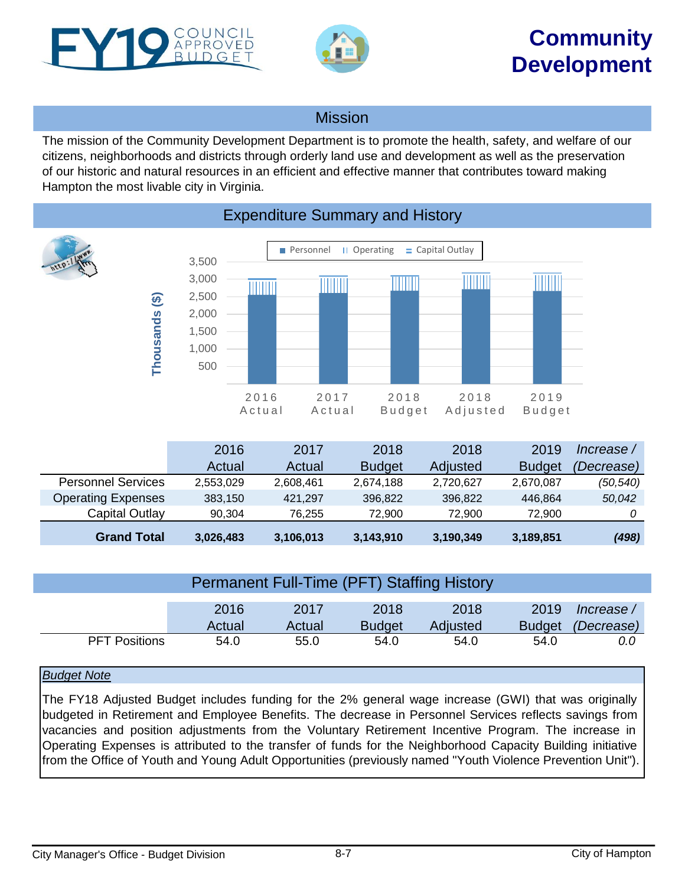<span id="page-6-0"></span>



# **Community Development**

# Mission

The mission of the Community Development Department is to promote the health, safety, and welfare of our citizens, neighborhoods and districts through orderly land use and development as well as the preservation of our historic and natural resources in an efficient and effective manner that contributes toward making Hampton the most livable city in Virginia.



# Expenditure Summary and History

|                           | 2016      | 2017      | 2018          | 2018      | 2019          | lncrease / |
|---------------------------|-----------|-----------|---------------|-----------|---------------|------------|
|                           | Actual    | Actual    | <b>Budget</b> | Adjusted  | <b>Budget</b> | (Decrease) |
| <b>Personnel Services</b> | 2,553,029 | 2,608,461 | 2,674,188     | 2,720,627 | 2,670,087     | (50, 540)  |
| <b>Operating Expenses</b> | 383,150   | 421.297   | 396.822       | 396.822   | 446.864       | 50,042     |
| Capital Outlay            | 90.304    | 76.255    | 72.900        | 72.900    | 72.900        |            |
| <b>Grand Total</b>        | 3,026,483 | 3,106,013 | 3,143,910     | 3,190,349 | 3,189,851     | (498)      |

| <b>Permanent Full-Time (PFT) Staffing History</b>                                                                               |      |      |      |      |      |     |  |  |
|---------------------------------------------------------------------------------------------------------------------------------|------|------|------|------|------|-----|--|--|
| 2019<br>2016<br>2018<br>2018<br>2017<br>lncrease /<br>Budget <i>(Decrease)</i><br><b>Budget</b><br>Actual<br>Adjusted<br>Actual |      |      |      |      |      |     |  |  |
| <b>PFT Positions</b>                                                                                                            | 54.0 | 55.0 | 54.0 | 54.0 | 54.0 | 0.0 |  |  |

## *Budget Note*

The FY18 Adjusted Budget includes funding for the 2% general wage increase (GWI) that was originally budgeted in Retirement and Employee Benefits. The decrease in Personnel Services reflects savings from vacancies and position adjustments from the Voluntary Retirement Incentive Program. The increase in Operating Expenses is attributed to the transfer of funds for the Neighborhood Capacity Building initiative from the Office of Youth and Young Adult Opportunities (previously named "Youth Violence Prevention Unit").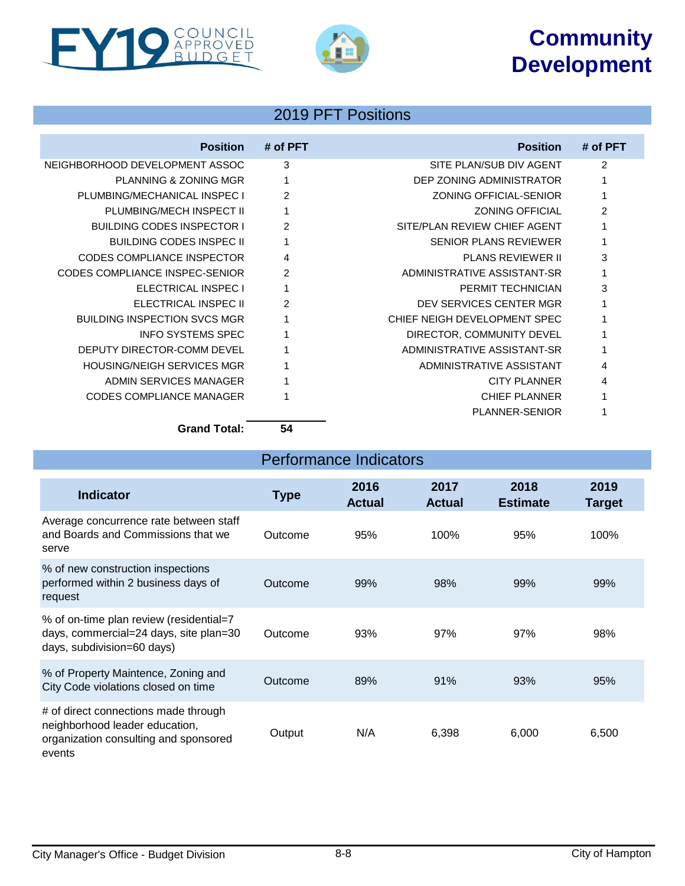# **Community Development**





# 2019 PFT Positions

| <b>Position</b>                     | # of PFT       | <b>Position</b>               | # of PFT       |
|-------------------------------------|----------------|-------------------------------|----------------|
| NEIGHBORHOOD DEVELOPMENT ASSOC      | 3              | SITE PLAN/SUB DIV AGENT       | $\overline{2}$ |
| <b>PLANNING &amp; ZONING MGR</b>    |                | DEP ZONING ADMINISTRATOR      |                |
| PLUMBING/MECHANICAL INSPECT         | $\mathfrak{p}$ | <b>ZONING OFFICIAL-SENIOR</b> |                |
| PLUMBING/MECH INSPECT II            |                | <b>ZONING OFFICIAL</b>        | $\mathfrak{p}$ |
| <b>BUILDING CODES INSPECTOR I</b>   | $\mathfrak{p}$ | SITE/PLAN REVIEW CHIEF AGENT  |                |
| <b>BUILDING CODES INSPEC II</b>     |                | <b>SENIOR PLANS REVIEWER</b>  |                |
| CODES COMPLIANCE INSPECTOR          | $\overline{4}$ | <b>PLANS REVIEWER II</b>      | 3              |
| CODES COMPLIANCE INSPEC-SENIOR      | $\mathfrak{p}$ | ADMINISTRATIVE ASSISTANT-SR   |                |
| ELECTRICAL INSPEC I                 |                | PERMIT TECHNICIAN             | 3              |
| ELECTRICAL INSPEC II                | $\mathcal{P}$  | DEV SERVICES CENTER MGR       |                |
| <b>BUILDING INSPECTION SVCS MGR</b> |                | CHIEF NEIGH DEVELOPMENT SPEC  |                |
| <b>INFO SYSTEMS SPEC</b>            |                | DIRECTOR, COMMUNITY DEVEL     |                |
| DEPUTY DIRECTOR-COMM DEVEL          |                | ADMINISTRATIVE ASSISTANT-SR   |                |
| <b>HOUSING/NEIGH SERVICES MGR</b>   |                | ADMINISTRATIVE ASSISTANT      | 4              |
| ADMIN SERVICES MANAGER              |                | <b>CITY PLANNER</b>           | 4              |
| <b>CODES COMPLIANCE MANAGER</b>     |                | <b>CHIEF PLANNER</b>          |                |
|                                     |                | <b>PLANNER-SENIOR</b>         |                |
| - - - -                             | - -            |                               |                |

**Grand Total: 54**

| <b>Performance Indicators</b>                                                                                             |             |                       |                       |                         |                       |  |  |
|---------------------------------------------------------------------------------------------------------------------------|-------------|-----------------------|-----------------------|-------------------------|-----------------------|--|--|
| <b>Indicator</b>                                                                                                          | <b>Type</b> | 2016<br><b>Actual</b> | 2017<br><b>Actual</b> | 2018<br><b>Estimate</b> | 2019<br><b>Target</b> |  |  |
| Average concurrence rate between staff<br>and Boards and Commissions that we<br>serve                                     | Outcome     | 95%                   | 100%                  | 95%                     | 100%                  |  |  |
| % of new construction inspections<br>performed within 2 business days of<br>request                                       | Outcome     | 99%                   | 98%                   | 99%                     | 99%                   |  |  |
| % of on-time plan review (residential=7<br>days, commercial=24 days, site plan=30<br>days, subdivision=60 days)           | Outcome     | 93%                   | 97%                   | 97%                     | 98%                   |  |  |
| % of Property Maintence, Zoning and<br>City Code violations closed on time                                                | Outcome     | 89%                   | 91%                   | 93%                     | 95%                   |  |  |
| # of direct connections made through<br>neighborhood leader education,<br>organization consulting and sponsored<br>events | Output      | N/A                   | 6,398                 | 6,000                   | 6,500                 |  |  |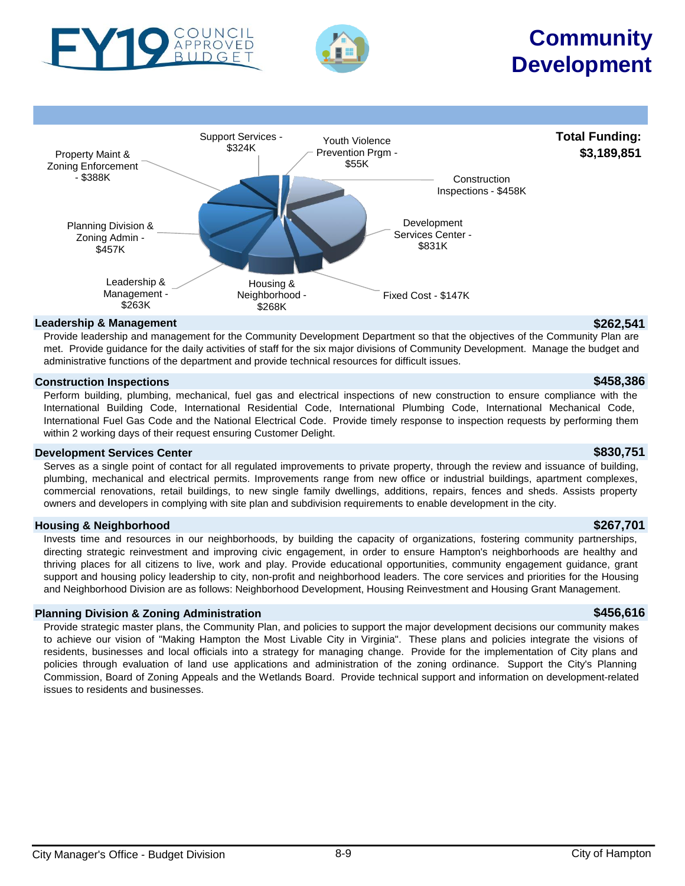



# **Community Development**



Provide leadership and management for the Community Development Department so that the objectives of the Community Plan are met. Provide guidance for the daily activities of staff for the six major divisions of Community Development. Manage the budget and administrative functions of the department and provide technical resources for difficult issues.

## **Construction Inspections \$458,386**

Perform building, plumbing, mechanical, fuel gas and electrical inspections of new construction to ensure compliance with the International Building Code, International Residential Code, International Plumbing Code, International Mechanical Code, International Fuel Gas Code and the National Electrical Code. Provide timely response to inspection requests by performing them within 2 working days of their request ensuring Customer Delight.

### **Development Services Center \$830,751**

Serves as a single point of contact for all regulated improvements to private property, through the review and issuance of building, plumbing, mechanical and electrical permits. Improvements range from new office or industrial buildings, apartment complexes, commercial renovations, retail buildings, to new single family dwellings, additions, repairs, fences and sheds. Assists property owners and developers in complying with site plan and subdivision requirements to enable development in the city.

### **Housing & Neighborhood \$267,701**

Invests time and resources in our neighborhoods, by building the capacity of organizations, fostering community partnerships, directing strategic reinvestment and improving civic engagement, in order to ensure Hampton's neighborhoods are healthy and thriving places for all citizens to live, work and play. Provide educational opportunities, community engagement guidance, grant support and housing policy leadership to city, non-profit and neighborhood leaders. The core services and priorities for the Housing and Neighborhood Division are as follows: Neighborhood Development, Housing Reinvestment and Housing Grant Management.

### **Planning Division & Zoning Administration \$456,616**

Provide strategic master plans, the Community Plan, and policies to support the major development decisions our community makes to achieve our vision of "Making Hampton the Most Livable City in Virginia". These plans and policies integrate the visions of residents, businesses and local officials into a strategy for managing change. Provide for the implementation of City plans and policies through evaluation of land use applications and administration of the zoning ordinance. Support the City's Planning Commission, Board of Zoning Appeals and the Wetlands Board. Provide technical support and information on development-related issues to residents and businesses.

# City Manager's Office - Budget Division 6-9 8-9 City of Hampton 6-9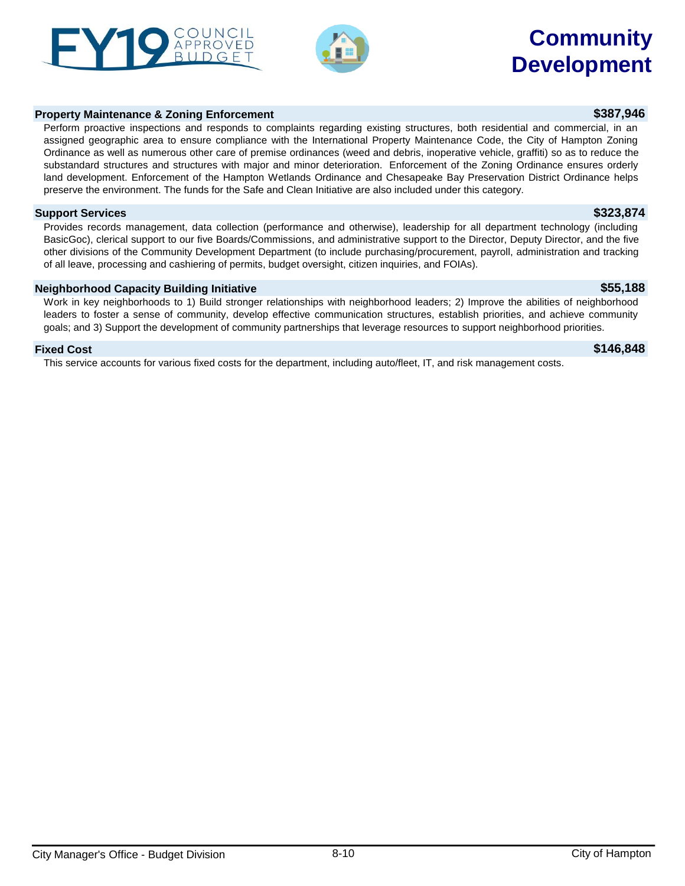### assigned geographic area to ensure compliance with the International Property Maintenance Code, the City of Hampton Zoning Ordinance as well as numerous other care of premise ordinances (weed and debris, inoperative vehicle, graffiti) so as to reduce the substandard structures and structures with major and minor deterioration. Enforcement of the Zoning Ordinance ensures orderly land development. Enforcement of the Hampton Wetlands Ordinance and Chesapeake Bay Preservation District Ordinance helps

**Support Services \$323,874** Provides records management, data collection (performance and otherwise), leadership for all department technology (including BasicGoc), clerical support to our five Boards/Commissions, and administrative support to the Director, Deputy Director, and the five other divisions of the Community Development Department (to include purchasing/procurement, payroll, administration and tracking

## **Neighborhood Capacity Building Initiative \$55,188**

Work in key neighborhoods to 1) Build stronger relationships with neighborhood leaders; 2) Improve the abilities of neighborhood leaders to foster a sense of community, develop effective communication structures, establish priorities, and achieve community goals; and 3) Support the development of community partnerships that leverage resources to support neighborhood priorities.

## **Fixed Cost \$146,848**

This service accounts for various fixed costs for the department, including auto/fleet, IT, and risk management costs.

preserve the environment. The funds for the Safe and Clean Initiative are also included under this category.

of all leave, processing and cashiering of permits, budget oversight, citizen inquiries, and FOIAs).

# **Community Development**

# **Property Maintenance & Zoning Enforcement \$387,946**



Perform proactive inspections and responds to complaints regarding existing structures, both residential and commercial, in an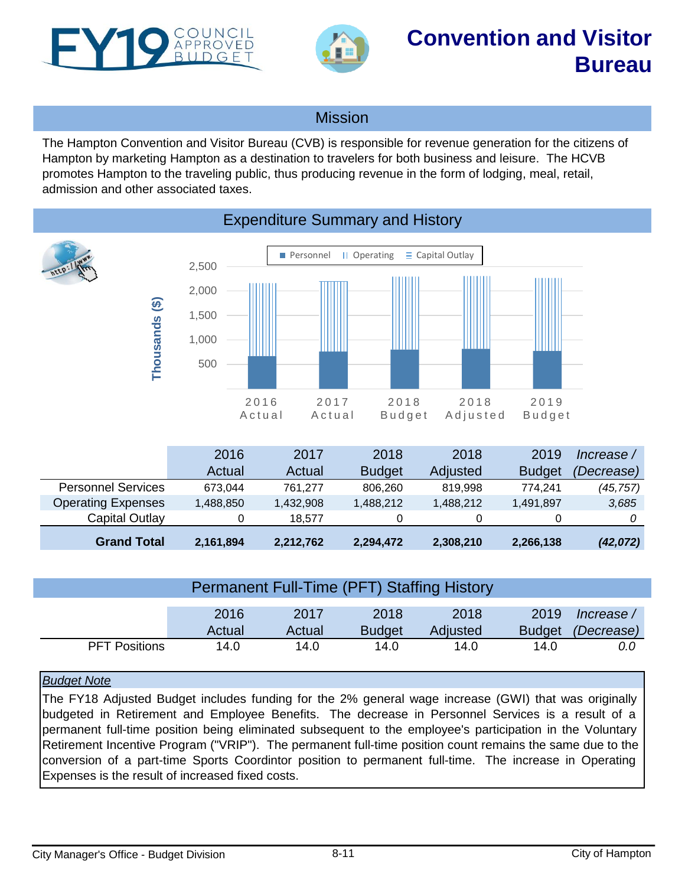<span id="page-10-0"></span>



# **Convention and Visitor Bureau**

## **Mission**

The Hampton Convention and Visitor Bureau (CVB) is responsible for revenue generation for the citizens of Hampton by marketing Hampton as a destination to travelers for both business and leisure. The HCVB promotes Hampton to the traveling public, thus producing revenue in the form of lodging, meal, retail, admission and other associated taxes.



## Expenditure Summary and History

|                           | 2016      | 2017      | 2018          | 2018      | 2019          | Increase /        |
|---------------------------|-----------|-----------|---------------|-----------|---------------|-------------------|
|                           | Actual    | Actual    | <b>Budget</b> | Adjusted  | <b>Budget</b> | <i>(Decrease)</i> |
| <b>Personnel Services</b> | 673.044   | 761.277   | 806.260       | 819.998   | 774.241       | (45, 757)         |
| <b>Operating Expenses</b> | 1,488,850 | 1,432,908 | 1,488,212     | 1,488,212 | 1,491,897     | 3,685             |
| Capital Outlay            |           | 18.577    | 0             |           |               |                   |
| <b>Grand Total</b>        | 2,161,894 | 2,212,762 | 2,294,472     | 2,308,210 | 2,266,138     | (42, 072)         |

| Permanent Full-Time (PFT) Staffing History |        |        |               |          |               |            |  |
|--------------------------------------------|--------|--------|---------------|----------|---------------|------------|--|
|                                            |        |        |               |          |               |            |  |
|                                            | 2016   | 2017   | 2018          | 2018     | 2019          | lncrease / |  |
|                                            | Actual | Actual | <b>Budget</b> | Adjusted | <b>Budget</b> | (Decrease) |  |
| <b>PFT Positions</b>                       | 14.0   | 14.0   | 14.0          | 14.0     | 14.0          | 0.0        |  |

## *Budget Note*

The FY18 Adjusted Budget includes funding for the 2% general wage increase (GWI) that was originally budgeted in Retirement and Employee Benefits. The decrease in Personnel Services is a result of a permanent full-time position being eliminated subsequent to the employee's participation in the Voluntary Retirement Incentive Program ("VRIP"). The permanent full-time position count remains the same due to the conversion of a part-time Sports Coordintor position to permanent full-time. The increase in Operating Expenses is the result of increased fixed costs.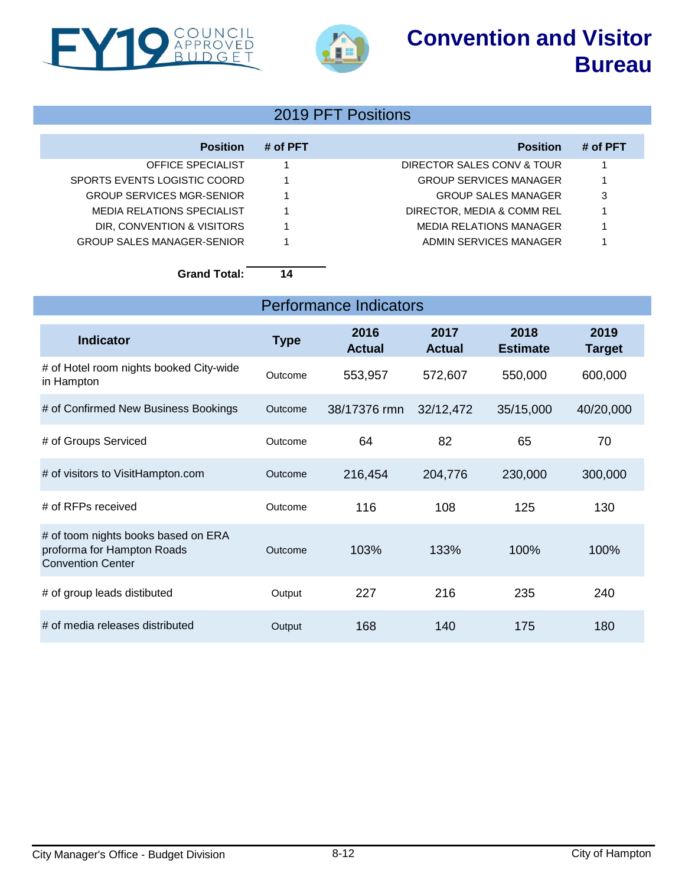# **Convention and Visitor Bureau**





# 2019 PFT Positions

| <b>Position</b>                   | # of PFT | <b>Position</b>               | # of PFT |
|-----------------------------------|----------|-------------------------------|----------|
| OFFICE SPECIALIST                 |          | DIRECTOR SALES CONV & TOUR    |          |
| SPORTS EVENTS LOGISTIC COORD      |          | <b>GROUP SERVICES MANAGER</b> |          |
| <b>GROUP SERVICES MGR-SENIOR</b>  |          | <b>GROUP SALES MANAGER</b>    | 3        |
| MEDIA RELATIONS SPECIALIST        |          | DIRECTOR, MEDIA & COMM REL    |          |
| DIR, CONVENTION & VISITORS        |          | MEDIA RELATIONS MANAGER       |          |
| <b>GROUP SALES MANAGER-SENIOR</b> |          | ADMIN SERVICES MANAGER        |          |

**Grand Total: 14**

| <b>Performance Indicators</b>                                                                 |             |                       |                       |                         |                       |  |  |
|-----------------------------------------------------------------------------------------------|-------------|-----------------------|-----------------------|-------------------------|-----------------------|--|--|
| <b>Indicator</b>                                                                              | <b>Type</b> | 2016<br><b>Actual</b> | 2017<br><b>Actual</b> | 2018<br><b>Estimate</b> | 2019<br><b>Target</b> |  |  |
| # of Hotel room nights booked City-wide<br>in Hampton                                         | Outcome     | 553,957               | 572,607               | 550,000                 | 600,000               |  |  |
| # of Confirmed New Business Bookings                                                          | Outcome     | 38/17376 rmn          | 32/12,472             | 35/15,000               | 40/20,000             |  |  |
| # of Groups Serviced                                                                          | Outcome     | 64                    | 82                    | 65                      | 70                    |  |  |
| # of visitors to VisitHampton.com                                                             | Outcome     | 216,454               | 204,776               | 230,000                 | 300,000               |  |  |
| # of RFPs received                                                                            | Outcome     | 116                   | 108                   | 125                     | 130                   |  |  |
| # of toom nights books based on ERA<br>proforma for Hampton Roads<br><b>Convention Center</b> | Outcome     | 103%                  | 133%                  | 100%                    | 100%                  |  |  |
| # of group leads distibuted                                                                   | Output      | 227                   | 216                   | 235                     | 240                   |  |  |
| # of media releases distributed                                                               | Output      | 168                   | 140                   | 175                     | 180                   |  |  |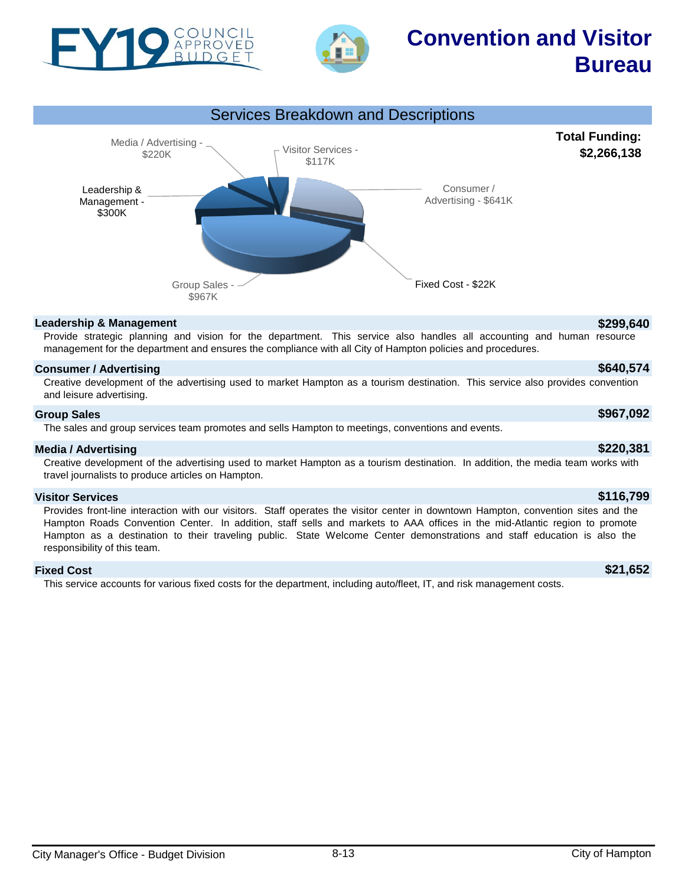



# **Convention and Visitor Bureau**



### **Leadership & Management \$299,640**

Provide strategic planning and vision for the department. This service also handles all accounting and human resource management for the department and ensures the compliance with all City of Hampton policies and procedures.

## **Consumer / Advertising \$640,574**

Creative development of the advertising used to market Hampton as a tourism destination. This service also provides convention and leisure advertising.

### **Group Sales \$967,092**

The sales and group services team promotes and sells Hampton to meetings, conventions and events.

### **Media / Advertising \$220,381**

Creative development of the advertising used to market Hampton as a tourism destination. In addition, the media team works with travel journalists to produce articles on Hampton.

### **Visitor Services \$116,799**

Provides front-line interaction with our visitors. Staff operates the visitor center in downtown Hampton, convention sites and the Hampton Roads Convention Center. In addition, staff sells and markets to AAA offices in the mid-Atlantic region to promote Hampton as a destination to their traveling public. State Welcome Center demonstrations and staff education is also the responsibility of this team.

### **Fixed Cost \$21,652**

This service accounts for various fixed costs for the department, including auto/fleet, IT, and risk management costs.

**Total Funding: \$2,266,138**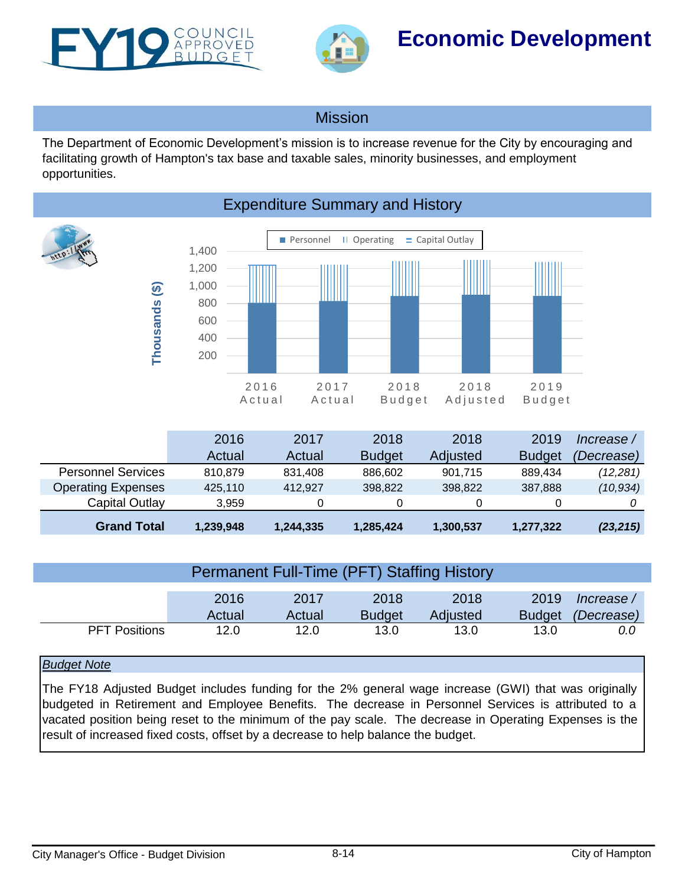<span id="page-13-0"></span>



# **Economic Development**

## **Mission**

The Department of Economic Development's mission is to increase revenue for the City by encouraging and facilitating growth of Hampton's tax base and taxable sales, minority businesses, and employment opportunities.



| <b>Grand Total</b>        | 1,239,948 | 1,244,335 | 1,285,424     | 1,300,537 | 1,277,322     | (23, 215)  |
|---------------------------|-----------|-----------|---------------|-----------|---------------|------------|
| Capital Outlay            | 3.959     |           |               | 0         |               |            |
| <b>Operating Expenses</b> | 425.110   | 412.927   | 398,822       | 398,822   | 387.888       | (10, 934)  |
| <b>Personnel Services</b> | 810.879   | 831.408   | 886,602       | 901,715   | 889.434       | (12, 281)  |
|                           | Actual    | Actual    | <b>Budget</b> | Adjusted  | <b>Budget</b> | (Decrease) |
|                           | 2016      | 2017      | 2018          | 2018      | 2019          | lncrease / |

| <b>Permanent Full-Time (PFT) Staffing History</b> |        |        |               |          |               |            |
|---------------------------------------------------|--------|--------|---------------|----------|---------------|------------|
|                                                   |        |        |               |          |               |            |
|                                                   | 2016   | 2017   | 2018          | 2018     | 2019          | lncrease / |
|                                                   | Actual | Actual | <b>Budget</b> | Adjusted | <b>Budget</b> | (Decrease) |
| <b>PFT Positions</b>                              | 12.0   | 12.0   | 13.0          | 13.0     | 13.0          | 0.0        |

## *Budget Note*

The FY18 Adjusted Budget includes funding for the 2% general wage increase (GWI) that was originally budgeted in Retirement and Employee Benefits. The decrease in Personnel Services is attributed to a vacated position being reset to the minimum of the pay scale. The decrease in Operating Expenses is the result of increased fixed costs, offset by a decrease to help balance the budget.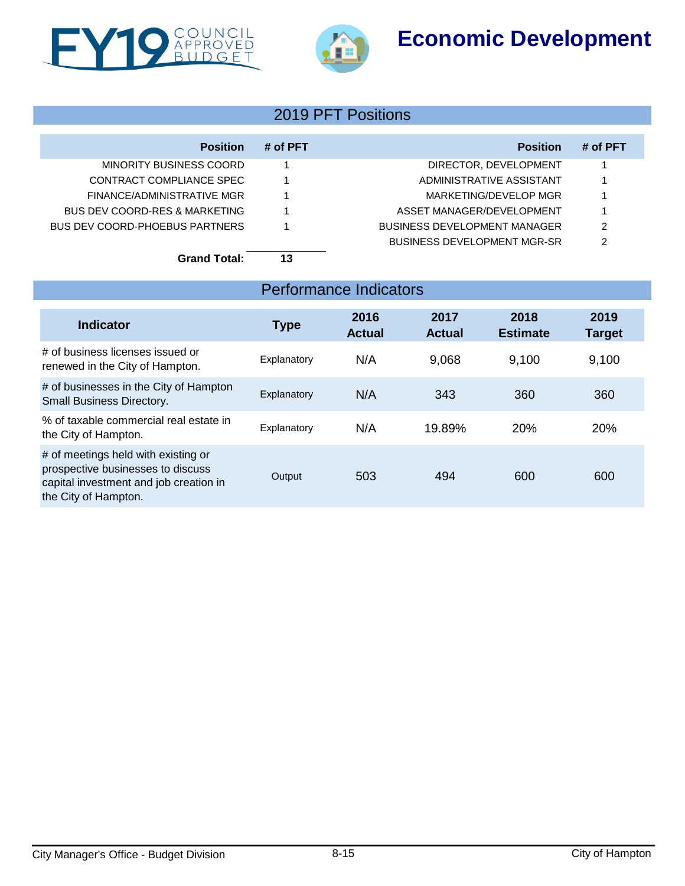# **Economic Development**





# 2019 PFT Positions

| <b>Position</b>                | # of PFT | <b>Position</b>                     | # of PFT |
|--------------------------------|----------|-------------------------------------|----------|
| MINORITY BUSINESS COORD        |          | DIRECTOR, DEVELOPMENT               |          |
| CONTRACT COMPLIANCE SPEC       |          | ADMINISTRATIVE ASSISTANT            |          |
| FINANCE/ADMINISTRATIVE MGR     |          | MARKETING/DEVELOP MGR               |          |
| BUS DEV COORD-RES & MARKETING  |          | ASSET MANAGER/DEVELOPMENT           |          |
| BUS DEV COORD-PHOEBUS PARTNERS |          | <b>BUSINESS DEVELOPMENT MANAGER</b> | 2        |
|                                |          | BUSINESS DEVELOPMENT MGR-SR         | 2        |
| <b>Grand Total:</b>            | 13       |                                     |          |

| Indicator                                                                                                                                  | <b>Type</b> | 2016<br><b>Actual</b> | 2017<br><b>Actual</b> | 2018<br><b>Estimate</b> | 2019<br><b>Target</b> |
|--------------------------------------------------------------------------------------------------------------------------------------------|-------------|-----------------------|-----------------------|-------------------------|-----------------------|
| # of business licenses issued or<br>renewed in the City of Hampton.                                                                        | Explanatory | N/A                   | 9,068                 | 9,100                   | 9,100                 |
| # of businesses in the City of Hampton<br>Small Business Directory.                                                                        | Explanatory | N/A                   | 343                   | 360                     | 360                   |
| % of taxable commercial real estate in<br>the City of Hampton.                                                                             | Explanatory | N/A                   | 19.89%                | 20%                     | 20%                   |
| # of meetings held with existing or<br>prospective businesses to discuss<br>capital investment and job creation in<br>the City of Hampton. | Output      | 503                   | 494                   | 600                     | 600                   |